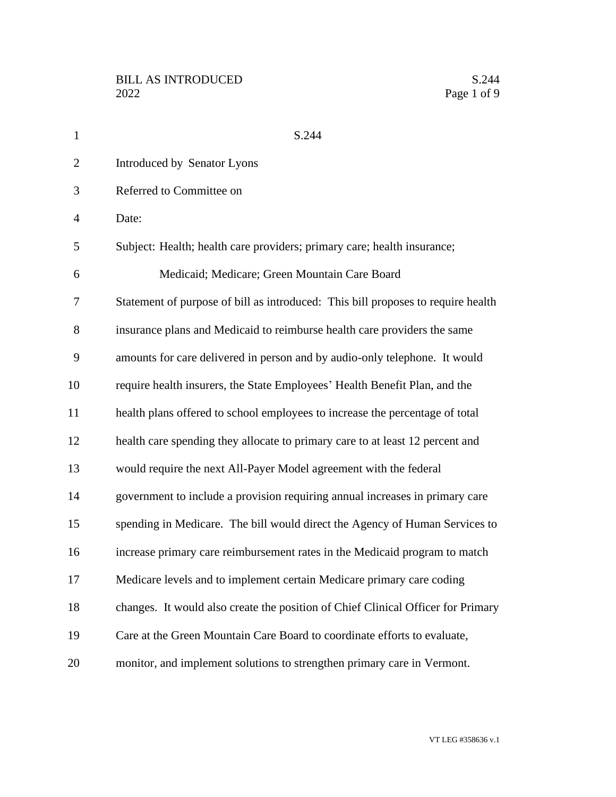| $\mathbf{1}$   | S.244                                                                            |
|----------------|----------------------------------------------------------------------------------|
| $\overline{2}$ | Introduced by Senator Lyons                                                      |
| 3              | Referred to Committee on                                                         |
| $\overline{4}$ | Date:                                                                            |
| 5              | Subject: Health; health care providers; primary care; health insurance;          |
| 6              | Medicaid; Medicare; Green Mountain Care Board                                    |
| 7              | Statement of purpose of bill as introduced: This bill proposes to require health |
| 8              | insurance plans and Medicaid to reimburse health care providers the same         |
| 9              | amounts for care delivered in person and by audio-only telephone. It would       |
| 10             | require health insurers, the State Employees' Health Benefit Plan, and the       |
| 11             | health plans offered to school employees to increase the percentage of total     |
| 12             | health care spending they allocate to primary care to at least 12 percent and    |
| 13             | would require the next All-Payer Model agreement with the federal                |
| 14             | government to include a provision requiring annual increases in primary care     |
| 15             | spending in Medicare. The bill would direct the Agency of Human Services to      |
| 16             | increase primary care reimbursement rates in the Medicaid program to match       |
| 17             | Medicare levels and to implement certain Medicare primary care coding            |
| 18             | changes. It would also create the position of Chief Clinical Officer for Primary |
| 19             | Care at the Green Mountain Care Board to coordinate efforts to evaluate,         |
| 20             | monitor, and implement solutions to strengthen primary care in Vermont.          |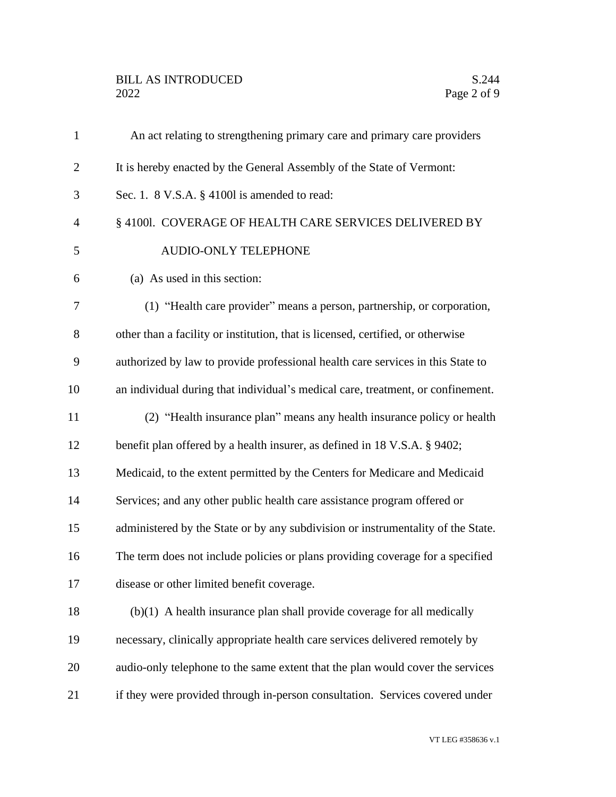## BILL AS INTRODUCED<br>2022 Page 2 of 9

| $\mathbf{1}$   | An act relating to strengthening primary care and primary care providers         |
|----------------|----------------------------------------------------------------------------------|
| $\overline{2}$ | It is hereby enacted by the General Assembly of the State of Vermont:            |
| 3              | Sec. 1. $8$ V.S.A. $\S$ 41001 is amended to read:                                |
| $\overline{4}$ | § 41001. COVERAGE OF HEALTH CARE SERVICES DELIVERED BY                           |
| 5              | AUDIO-ONLY TELEPHONE                                                             |
| 6              | (a) As used in this section:                                                     |
| 7              | (1) "Health care provider" means a person, partnership, or corporation,          |
| 8              | other than a facility or institution, that is licensed, certified, or otherwise  |
| 9              | authorized by law to provide professional health care services in this State to  |
| 10             | an individual during that individual's medical care, treatment, or confinement.  |
| 11             | (2) "Health insurance plan" means any health insurance policy or health          |
| 12             | benefit plan offered by a health insurer, as defined in 18 V.S.A. § 9402;        |
| 13             | Medicaid, to the extent permitted by the Centers for Medicare and Medicaid       |
| 14             | Services; and any other public health care assistance program offered or         |
| 15             | administered by the State or by any subdivision or instrumentality of the State. |
| 16             | The term does not include policies or plans providing coverage for a specified   |
| 17             | disease or other limited benefit coverage.                                       |
| 18             | $(b)(1)$ A health insurance plan shall provide coverage for all medically        |
| 19             | necessary, clinically appropriate health care services delivered remotely by     |
| 20             | audio-only telephone to the same extent that the plan would cover the services   |
| 21             | if they were provided through in-person consultation. Services covered under     |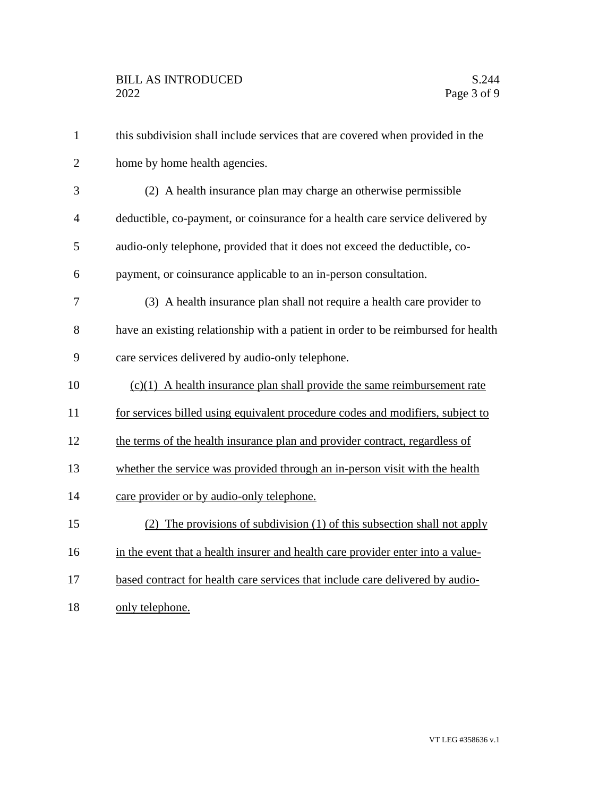| $\mathbf{1}$   | this subdivision shall include services that are covered when provided in the     |
|----------------|-----------------------------------------------------------------------------------|
| $\overline{2}$ | home by home health agencies.                                                     |
| 3              | (2) A health insurance plan may charge an otherwise permissible                   |
| $\overline{4}$ | deductible, co-payment, or coinsurance for a health care service delivered by     |
| 5              | audio-only telephone, provided that it does not exceed the deductible, co-        |
| 6              | payment, or coinsurance applicable to an in-person consultation.                  |
| 7              | (3) A health insurance plan shall not require a health care provider to           |
| 8              | have an existing relationship with a patient in order to be reimbursed for health |
| 9              | care services delivered by audio-only telephone.                                  |
| 10             | $(c)(1)$ A health insurance plan shall provide the same reimbursement rate        |
| 11             | for services billed using equivalent procedure codes and modifiers, subject to    |
| 12             | the terms of the health insurance plan and provider contract, regardless of       |
| 13             | whether the service was provided through an in-person visit with the health       |
| 14             | care provider or by audio-only telephone.                                         |
| 15             | (2) The provisions of subdivision (1) of this subsection shall not apply          |
| 16             | in the event that a health insurer and health care provider enter into a value-   |
| 17             | based contract for health care services that include care delivered by audio-     |
| 18             | only telephone.                                                                   |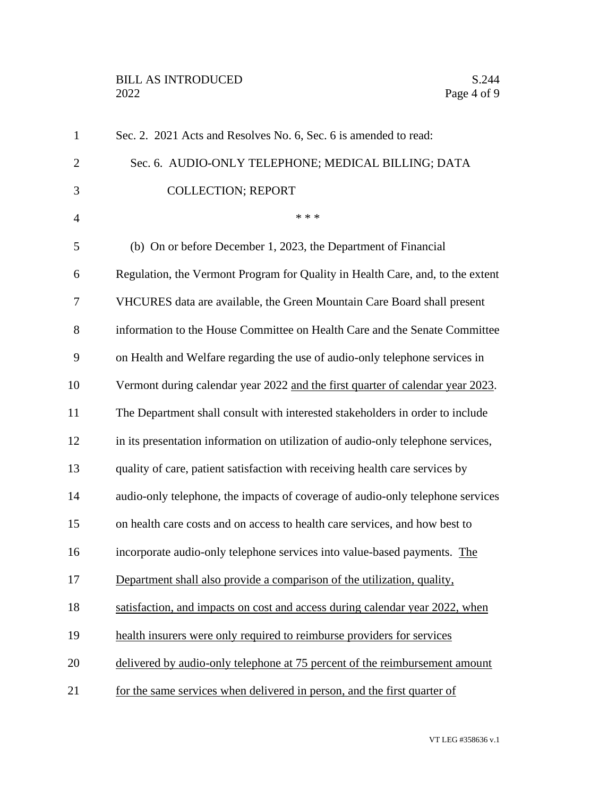## BILL AS INTRODUCED<br>2022 Page 4 of 9

| $\mathbf{1}$   | Sec. 2. 2021 Acts and Resolves No. 6, Sec. 6 is amended to read:                 |
|----------------|----------------------------------------------------------------------------------|
| $\overline{2}$ | Sec. 6. AUDIO-ONLY TELEPHONE; MEDICAL BILLING; DATA                              |
| 3              | <b>COLLECTION; REPORT</b>                                                        |
| $\overline{4}$ | * * *                                                                            |
| 5              | (b) On or before December 1, 2023, the Department of Financial                   |
| 6              | Regulation, the Vermont Program for Quality in Health Care, and, to the extent   |
| 7              | VHCURES data are available, the Green Mountain Care Board shall present          |
| 8              | information to the House Committee on Health Care and the Senate Committee       |
| 9              | on Health and Welfare regarding the use of audio-only telephone services in      |
| 10             | Vermont during calendar year 2022 and the first quarter of calendar year 2023.   |
| 11             | The Department shall consult with interested stakeholders in order to include    |
| 12             | in its presentation information on utilization of audio-only telephone services, |
| 13             | quality of care, patient satisfaction with receiving health care services by     |
| 14             | audio-only telephone, the impacts of coverage of audio-only telephone services   |
| 15             | on health care costs and on access to health care services, and how best to      |
| 16             | incorporate audio-only telephone services into value-based payments. The         |
| 17             | Department shall also provide a comparison of the utilization, quality,          |
| 18             | satisfaction, and impacts on cost and access during calendar year 2022, when     |
| 19             | health insurers were only required to reimburse providers for services           |
| 20             | delivered by audio-only telephone at 75 percent of the reimbursement amount      |
| 21             | for the same services when delivered in person, and the first quarter of         |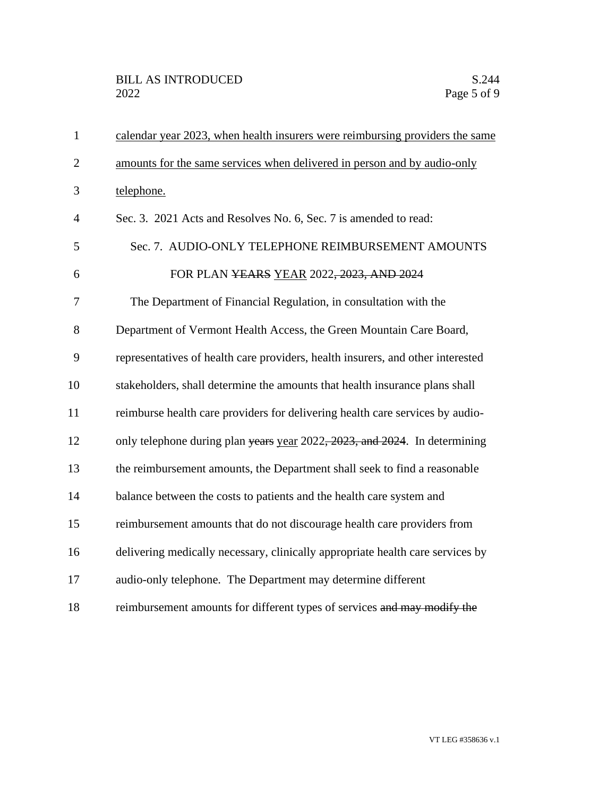| $\mathbf{1}$   | calendar year 2023, when health insurers were reimbursing providers the same    |
|----------------|---------------------------------------------------------------------------------|
| $\overline{2}$ | amounts for the same services when delivered in person and by audio-only        |
| 3              | telephone.                                                                      |
| $\overline{4}$ | Sec. 3. 2021 Acts and Resolves No. 6, Sec. 7 is amended to read:                |
| 5              | Sec. 7. AUDIO-ONLY TELEPHONE REIMBURSEMENT AMOUNTS                              |
| 6              | FOR PLAN YEARS YEAR 2022 <del>, 2023, AND 2024</del>                            |
| 7              | The Department of Financial Regulation, in consultation with the                |
| 8              | Department of Vermont Health Access, the Green Mountain Care Board,             |
| 9              | representatives of health care providers, health insurers, and other interested |
| 10             | stakeholders, shall determine the amounts that health insurance plans shall     |
| 11             | reimburse health care providers for delivering health care services by audio-   |
| 12             | only telephone during plan years year 2022, 2023, and 2024. In determining      |
| 13             | the reimbursement amounts, the Department shall seek to find a reasonable       |
| 14             | balance between the costs to patients and the health care system and            |
| 15             | reimbursement amounts that do not discourage health care providers from         |
| 16             | delivering medically necessary, clinically appropriate health care services by  |
| 17             | audio-only telephone. The Department may determine different                    |
| 18             | reimbursement amounts for different types of services and may modify the        |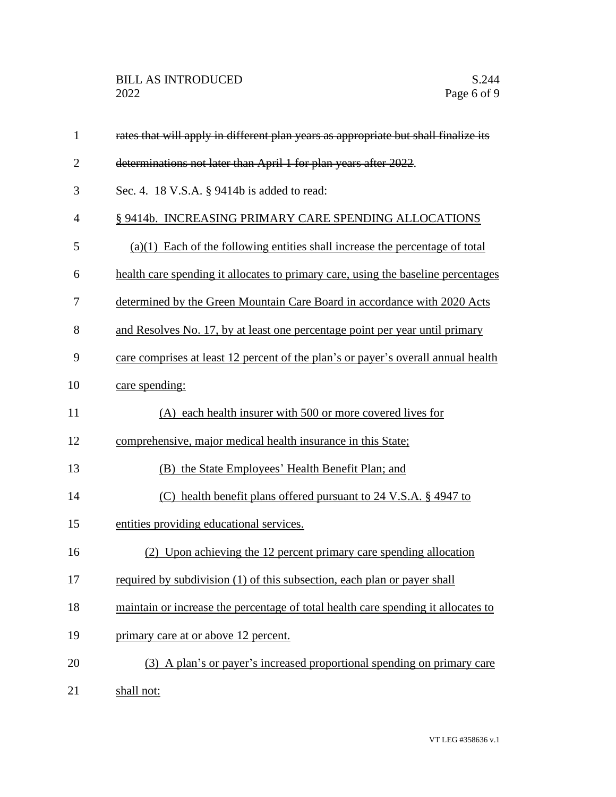| $\mathbf{1}$   | rates that will apply in different plan years as appropriate but shall finalize its |
|----------------|-------------------------------------------------------------------------------------|
| $\overline{2}$ | determinations not later than April 1 for plan years after 2022.                    |
| 3              | Sec. 4. 18 V.S.A. § 9414b is added to read:                                         |
| $\overline{4}$ | § 9414b. INCREASING PRIMARY CARE SPENDING ALLOCATIONS                               |
| 5              | $(a)(1)$ Each of the following entities shall increase the percentage of total      |
| 6              | health care spending it allocates to primary care, using the baseline percentages   |
| 7              | determined by the Green Mountain Care Board in accordance with 2020 Acts            |
| 8              | and Resolves No. 17, by at least one percentage point per year until primary        |
| 9              | care comprises at least 12 percent of the plan's or payer's overall annual health   |
| 10             | care spending:                                                                      |
| 11             | (A) each health insurer with 500 or more covered lives for                          |
| 12             | comprehensive, major medical health insurance in this State;                        |
| 13             | (B) the State Employees' Health Benefit Plan; and                                   |
| 14             | (C) health benefit plans offered pursuant to 24 V.S.A. § 4947 to                    |
| 15             | entities providing educational services.                                            |
| 16             | (2) Upon achieving the 12 percent primary care spending allocation                  |
| 17             | required by subdivision (1) of this subsection, each plan or payer shall            |
| 18             | maintain or increase the percentage of total health care spending it allocates to   |
| 19             | primary care at or above 12 percent.                                                |
| 20             | (3) A plan's or payer's increased proportional spending on primary care             |
| 21             | shall not:                                                                          |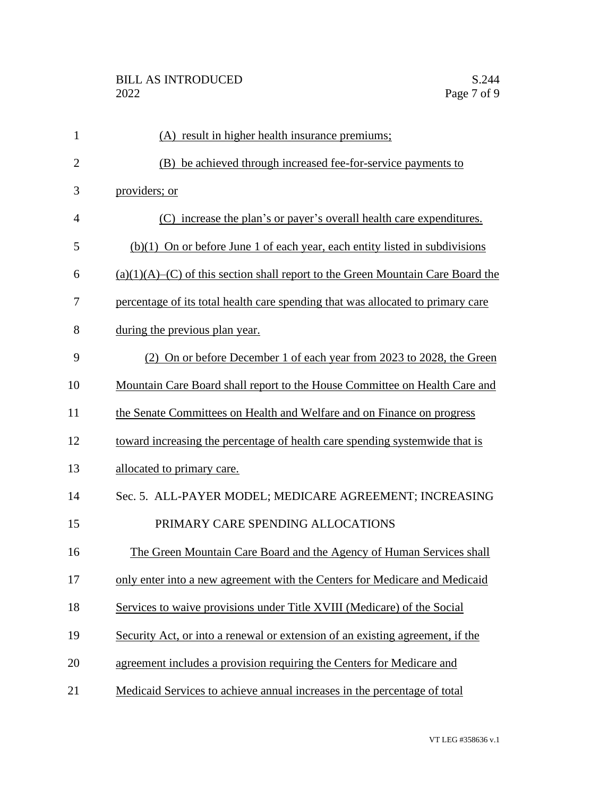| 1              | (A) result in higher health insurance premiums;                                       |
|----------------|---------------------------------------------------------------------------------------|
| $\overline{2}$ | (B) be achieved through increased fee-for-service payments to                         |
| 3              | providers; or                                                                         |
| $\overline{4}$ | (C) increase the plan's or payer's overall health care expenditures.                  |
| 5              | $(b)(1)$ On or before June 1 of each year, each entity listed in subdivisions         |
| 6              | $(a)(1)(A)$ – $(C)$ of this section shall report to the Green Mountain Care Board the |
| 7              | percentage of its total health care spending that was allocated to primary care       |
| 8              | during the previous plan year.                                                        |
| 9              | (2) On or before December 1 of each year from 2023 to 2028, the Green                 |
| 10             | Mountain Care Board shall report to the House Committee on Health Care and            |
| 11             | the Senate Committees on Health and Welfare and on Finance on progress                |
| 12             | toward increasing the percentage of health care spending systemwide that is           |
| 13             | allocated to primary care.                                                            |
| 14             | Sec. 5. ALL-PAYER MODEL; MEDICARE AGREEMENT; INCREASING                               |
| 15             | PRIMARY CARE SPENDING ALLOCATIONS                                                     |
| 16             | The Green Mountain Care Board and the Agency of Human Services shall                  |
| 17             | only enter into a new agreement with the Centers for Medicare and Medicaid            |
| 18             | Services to waive provisions under Title XVIII (Medicare) of the Social               |
| 19             | Security Act, or into a renewal or extension of an existing agreement, if the         |
| 20             | agreement includes a provision requiring the Centers for Medicare and                 |
| 21             | Medicaid Services to achieve annual increases in the percentage of total              |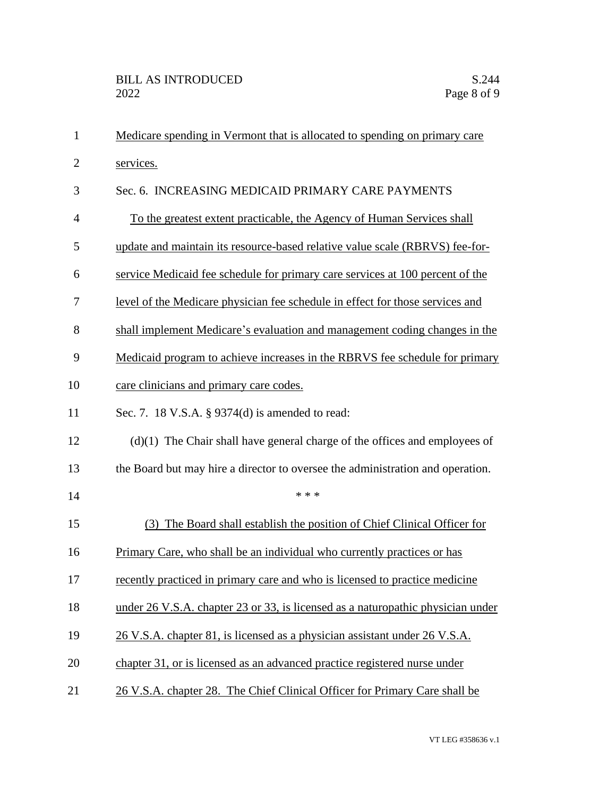| 1              | Medicare spending in Vermont that is allocated to spending on primary care      |
|----------------|---------------------------------------------------------------------------------|
| $\overline{2}$ | services.                                                                       |
| 3              | Sec. 6. INCREASING MEDICAID PRIMARY CARE PAYMENTS                               |
| $\overline{4}$ | To the greatest extent practicable, the Agency of Human Services shall          |
| 5              | update and maintain its resource-based relative value scale (RBRVS) fee-for-    |
| 6              | service Medicaid fee schedule for primary care services at 100 percent of the   |
| 7              | level of the Medicare physician fee schedule in effect for those services and   |
| 8              | shall implement Medicare's evaluation and management coding changes in the      |
| 9              | Medicaid program to achieve increases in the RBRVS fee schedule for primary     |
| 10             | care clinicians and primary care codes.                                         |
| 11             | Sec. 7. 18 V.S.A. § 9374(d) is amended to read:                                 |
| 12             | $(d)(1)$ The Chair shall have general charge of the offices and employees of    |
| 13             | the Board but may hire a director to oversee the administration and operation.  |
| 14             | * * *                                                                           |
| 15             | The Board shall establish the position of Chief Clinical Officer for<br>(3)     |
| 16             | Primary Care, who shall be an individual who currently practices or has         |
| 17             | recently practiced in primary care and who is licensed to practice medicine     |
| 18             | under 26 V.S.A. chapter 23 or 33, is licensed as a naturopathic physician under |
| 19             | 26 V.S.A. chapter 81, is licensed as a physician assistant under 26 V.S.A.      |
| 20             | chapter 31, or is licensed as an advanced practice registered nurse under       |
| 21             | 26 V.S.A. chapter 28. The Chief Clinical Officer for Primary Care shall be      |